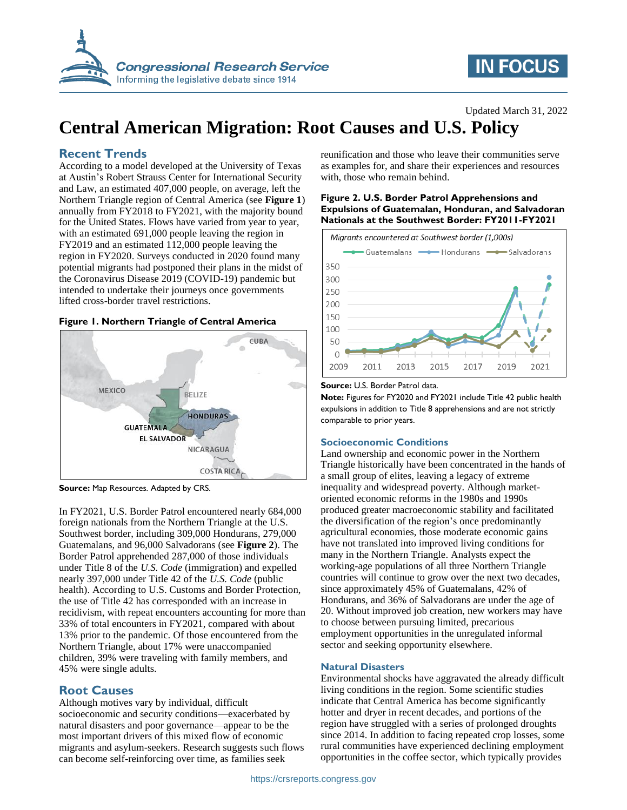

# **IN FOCUS**

## Updated March 31, 2022

# **Central American Migration: Root Causes and U.S. Policy**

# **Recent Trends**

According to a model developed at the University of Texas at Austin's Robert Strauss Center for International Security and Law, an estimated 407,000 people, on average, left the Northern Triangle region of Central America (see **[Figure 1](#page-0-0)**) annually from FY2018 to FY2021, with the majority bound for the United States. Flows have varied from year to year, with an estimated 691,000 people leaving the region in FY2019 and an estimated 112,000 people leaving the region in FY2020. Surveys conducted in 2020 found many potential migrants had postponed their plans in the midst of the Coronavirus Disease 2019 (COVID-19) pandemic but intended to undertake their journeys once governments lifted cross-border travel restrictions.

## <span id="page-0-0"></span>**Figure 1. Northern Triangle of Central America**



**Source:** Map Resources. Adapted by CRS.

In FY2021, U.S. Border Patrol encountered nearly 684,000 foreign nationals from the Northern Triangle at the U.S. Southwest border, including 309,000 Hondurans, 279,000 Guatemalans, and 96,000 Salvadorans (see **[Figure 2](#page-0-1)**). The Border Patrol apprehended 287,000 of those individuals under Title 8 of the *U.S. Code* (immigration) and expelled nearly 397,000 under Title 42 of the *U.S. Code* (public health). According to U.S. Customs and Border Protection, the use of Title 42 has corresponded with an increase in recidivism, with repeat encounters accounting for more than 33% of total encounters in FY2021, compared with about 13% prior to the pandemic. Of those encountered from the Northern Triangle, about 17% were unaccompanied children, 39% were traveling with family members, and 45% were single adults.

# **Root Causes**

Although motives vary by individual, difficult socioeconomic and security conditions—exacerbated by natural disasters and poor governance—appear to be the most important drivers of this mixed flow of economic migrants and asylum-seekers. Research suggests such flows can become self-reinforcing over time, as families seek

reunification and those who leave their communities serve as examples for, and share their experiences and resources with, those who remain behind.

## <span id="page-0-1"></span>**Figure 2. U.S. Border Patrol Apprehensions and Expulsions of Guatemalan, Honduran, and Salvadoran Nationals at the Southwest Border: FY2011-FY2021**



#### **Source:** U.S. Border Patrol data.

**Note:** Figures for FY2020 and FY2021 include Title 42 public health expulsions in addition to Title 8 apprehensions and are not strictly comparable to prior years.

## **Socioeconomic Conditions**

Land ownership and economic power in the Northern Triangle historically have been concentrated in the hands of a small group of elites, leaving a legacy of extreme inequality and widespread poverty. Although marketoriented economic reforms in the 1980s and 1990s produced greater macroeconomic stability and facilitated the diversification of the region's once predominantly agricultural economies, those moderate economic gains have not translated into improved living conditions for many in the Northern Triangle. Analysts expect the working-age populations of all three Northern Triangle countries will continue to grow over the next two decades, since approximately 45% of Guatemalans, 42% of Hondurans, and 36% of Salvadorans are under the age of 20. Without improved job creation, new workers may have to choose between pursuing limited, precarious employment opportunities in the unregulated informal sector and seeking opportunity elsewhere.

## **Natural Disasters**

Environmental shocks have aggravated the already difficult living conditions in the region. Some scientific studies indicate that Central America has become significantly hotter and dryer in recent decades, and portions of the region have struggled with a series of prolonged droughts since 2014. In addition to facing repeated crop losses, some rural communities have experienced declining employment opportunities in the coffee sector, which typically provides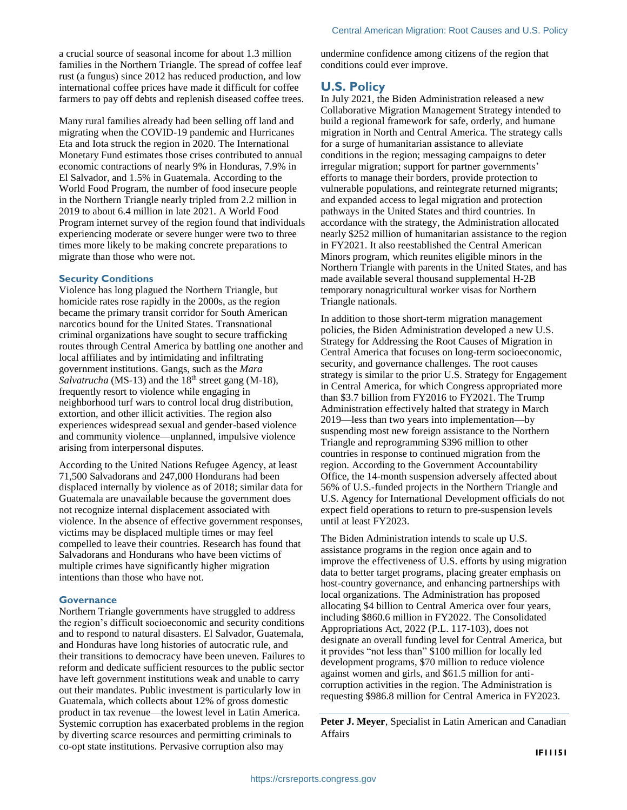a crucial source of seasonal income for about 1.3 million families in the Northern Triangle. The spread of coffee leaf rust (a fungus) since 2012 has reduced production, and low international coffee prices have made it difficult for coffee farmers to pay off debts and replenish diseased coffee trees.

Many rural families already had been selling off land and migrating when the COVID-19 pandemic and Hurricanes Eta and Iota struck the region in 2020. The International Monetary Fund estimates those crises contributed to annual economic contractions of nearly 9% in Honduras, 7.9% in El Salvador, and 1.5% in Guatemala. According to the World Food Program, the number of food insecure people in the Northern Triangle nearly tripled from 2.2 million in 2019 to about 6.4 million in late 2021. A World Food Program internet survey of the region found that individuals experiencing moderate or severe hunger were two to three times more likely to be making concrete preparations to migrate than those who were not.

## **Security Conditions**

Violence has long plagued the Northern Triangle, but homicide rates rose rapidly in the 2000s, as the region became the primary transit corridor for South American narcotics bound for the United States. Transnational criminal organizations have sought to secure trafficking routes through Central America by battling one another and local affiliates and by intimidating and infiltrating government institutions. Gangs, such as the *Mara Salvatrucha* (MS-13) and the 18<sup>th</sup> street gang (M-18), frequently resort to violence while engaging in neighborhood turf wars to control local drug distribution, extortion, and other illicit activities. The region also experiences widespread sexual and gender-based violence and community violence—unplanned, impulsive violence arising from interpersonal disputes.

According to the United Nations Refugee Agency, at least 71,500 Salvadorans and 247,000 Hondurans had been displaced internally by violence as of 2018; similar data for Guatemala are unavailable because the government does not recognize internal displacement associated with violence. In the absence of effective government responses, victims may be displaced multiple times or may feel compelled to leave their countries. Research has found that Salvadorans and Hondurans who have been victims of multiple crimes have significantly higher migration intentions than those who have not.

#### **Governance**

Northern Triangle governments have struggled to address the region's difficult socioeconomic and security conditions and to respond to natural disasters. El Salvador, Guatemala, and Honduras have long histories of autocratic rule, and their transitions to democracy have been uneven. Failures to reform and dedicate sufficient resources to the public sector have left government institutions weak and unable to carry out their mandates. Public investment is particularly low in Guatemala, which collects about 12% of gross domestic product in tax revenue—the lowest level in Latin America. Systemic corruption has exacerbated problems in the region by diverting scarce resources and permitting criminals to co-opt state institutions. Pervasive corruption also may

undermine confidence among citizens of the region that conditions could ever improve.

# **U.S. Policy**

In July 2021, the Biden Administration released a new Collaborative Migration Management Strategy intended to build a regional framework for safe, orderly, and humane migration in North and Central America. The strategy calls for a surge of humanitarian assistance to alleviate conditions in the region; messaging campaigns to deter irregular migration; support for partner governments' efforts to manage their borders, provide protection to vulnerable populations, and reintegrate returned migrants; and expanded access to legal migration and protection pathways in the United States and third countries. In accordance with the strategy, the Administration allocated nearly \$252 million of humanitarian assistance to the region in FY2021. It also reestablished the Central American Minors program, which reunites eligible minors in the Northern Triangle with parents in the United States, and has made available several thousand supplemental H-2B temporary nonagricultural worker visas for Northern Triangle nationals.

In addition to those short-term migration management policies, the Biden Administration developed a new U.S. Strategy for Addressing the Root Causes of Migration in Central America that focuses on long-term socioeconomic, security, and governance challenges. The root causes strategy is similar to the prior U.S. Strategy for Engagement in Central America, for which Congress appropriated more than \$3.7 billion from FY2016 to FY2021. The Trump Administration effectively halted that strategy in March 2019—less than two years into implementation—by suspending most new foreign assistance to the Northern Triangle and reprogramming \$396 million to other countries in response to continued migration from the region. According to the Government Accountability Office, the 14-month suspension adversely affected about 56% of U.S.-funded projects in the Northern Triangle and U.S. Agency for International Development officials do not expect field operations to return to pre-suspension levels until at least FY2023.

The Biden Administration intends to scale up U.S. assistance programs in the region once again and to improve the effectiveness of U.S. efforts by using migration data to better target programs, placing greater emphasis on host-country governance, and enhancing partnerships with local organizations. The Administration has proposed allocating \$4 billion to Central America over four years, including \$860.6 million in FY2022. The Consolidated Appropriations Act, 2022 (P.L. 117-103), does not designate an overall funding level for Central America, but it provides "not less than" \$100 million for locally led development programs, \$70 million to reduce violence against women and girls, and \$61.5 million for anticorruption activities in the region. The Administration is requesting \$986.8 million for Central America in FY2023.

**Peter J. Meyer**, Specialist in Latin American and Canadian Affairs